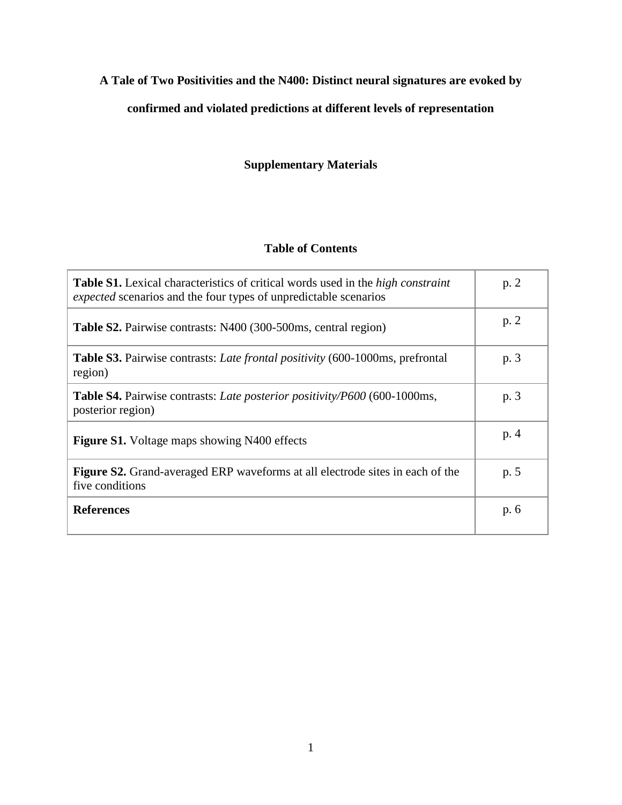# **A Tale of Two Positivities and the N400: Distinct neural signatures are evoked by**

# **confirmed and violated predictions at different levels of representation**

# **Supplementary Materials**

### **Table of Contents**

| <b>Table S1.</b> Lexical characteristics of critical words used in the <i>high constraint</i><br><i>expected</i> scenarios and the four types of unpredictable scenarios | p. 2 |
|--------------------------------------------------------------------------------------------------------------------------------------------------------------------------|------|
| <b>Table S2.</b> Pairwise contrasts: N400 (300-500ms, central region)                                                                                                    | p. 2 |
| <b>Table S3.</b> Pairwise contrasts: <i>Late frontal positivity</i> (600-1000ms, prefrontal<br>region)                                                                   | p. 3 |
| <b>Table S4.</b> Pairwise contrasts: <i>Late posterior positivity/P600</i> (600-1000ms,<br>posterior region)                                                             | p. 3 |
| <b>Figure S1.</b> Voltage maps showing N400 effects                                                                                                                      | p.4  |
| <b>Figure S2.</b> Grand-averaged ERP waveforms at all electrode sites in each of the<br>five conditions                                                                  | p. 5 |
| <b>References</b>                                                                                                                                                        | p. 6 |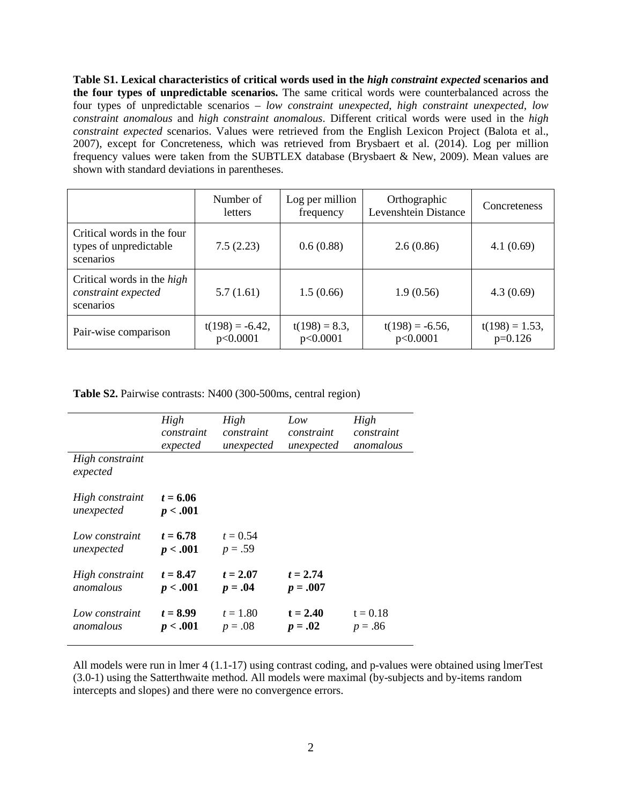**Table S1. Lexical characteristics of critical words used in the** *high constraint expected* **scenarios and the four types of unpredictable scenarios.** The same critical words were counterbalanced across the four types of unpredictable scenarios – *low constraint unexpected*, *high constraint unexpected*, *low constraint anomalous* and *high constraint anomalous*. Different critical words were used in the *high constraint expected* scenarios. Values were retrieved from the English Lexicon Project (Balota et al., 2007), except for Concreteness, which was retrieved from Brysbaert et al. (2014). Log per million frequency values were taken from the SUBTLEX database (Brysbaert & New, 2009). Mean values are shown with standard deviations in parentheses.

|                                                                       | Number of<br>letters           | Log per million<br>frequency | Orthographic<br>Levenshtein Distance | Concreteness                   |
|-----------------------------------------------------------------------|--------------------------------|------------------------------|--------------------------------------|--------------------------------|
| Critical words in the four<br>types of unpredictable<br>scenarios     | 7.5(2.23)                      | 0.6(0.88)                    | 2.6(0.86)                            | 4.1(0.69)                      |
| Critical words in the <i>high</i><br>constraint expected<br>scenarios | 5.7(1.61)                      | 1.5(0.66)                    | 1.9(0.56)                            | 4.3(0.69)                      |
| Pair-wise comparison                                                  | $t(198) = -6.42$ ,<br>p<0.0001 | $t(198) = 8.3$ ,<br>p<0.0001 | $t(198) = -6.56$ ,<br>p<0.0001       | $t(198) = 1.53$ ,<br>$p=0.126$ |

**Table S2.** Pairwise contrasts: N400 (300-500ms, central region)

|                               | High                   | High                    | Low        | High       |
|-------------------------------|------------------------|-------------------------|------------|------------|
|                               | constraint             | constraint              | constraint | constraint |
|                               | expected               | unexpected              | unexpected | anomalous  |
| High constraint<br>expected   |                        |                         |            |            |
| High constraint<br>unexpected | $t = 6.06$<br>p < .001 |                         |            |            |
| Low constraint<br>unexpected  | $t = 6.78$<br>p < .001 | $t = 0.54$<br>$p = .59$ |            |            |
| High constraint               | $t = 8.47$             | $t = 2.07$              | $t = 2.74$ |            |
| anomalous                     | p < .001               | $p = .04$               | $p = .007$ |            |
| Low constraint                | $t = 8.99$             | $t = 1.80$              | $t = 2.40$ | $t = 0.18$ |
| anomalous                     | p < .001               | $p = .08$               | $p = .02$  | $p = .86$  |

All models were run in lmer 4 (1.1-17) using contrast coding, and p-values were obtained using lmerTest (3.0-1) using the Satterthwaite method. All models were maximal (by-subjects and by-items random intercepts and slopes) and there were no convergence errors.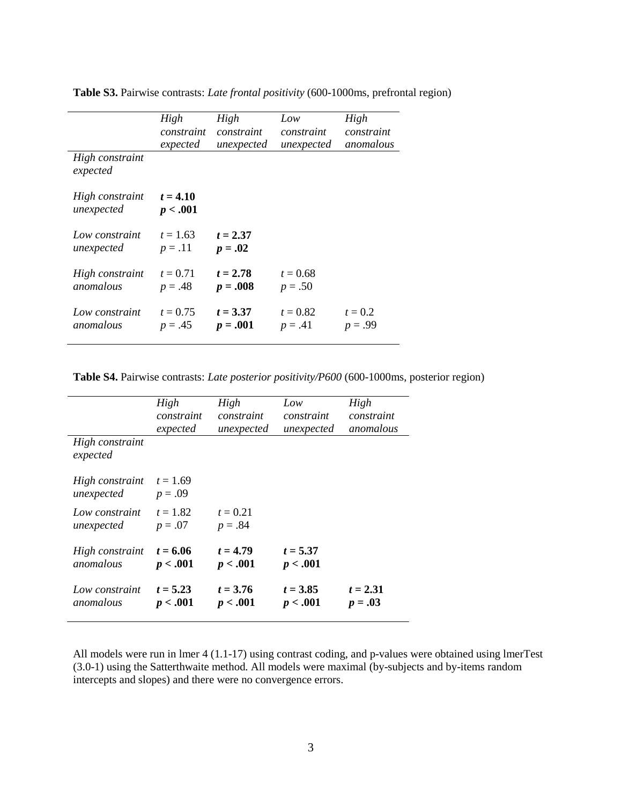|                               | High                    | High                    | Low        | High       |
|-------------------------------|-------------------------|-------------------------|------------|------------|
|                               | constraint              | constraint              | constraint | constraint |
|                               | expected                | unexpected              | unexpected | anomalous  |
| High constraint<br>expected   |                         |                         |            |            |
| High constraint<br>unexpected | $t = 4.10$<br>p < .001  |                         |            |            |
| Low constraint<br>unexpected  | $t = 1.63$<br>$p = .11$ | $t = 2.37$<br>$p = .02$ |            |            |
| High constraint               | $t = 0.71$              | $t = 2.78$              | $t = 0.68$ |            |
| anomalous                     | $p = .48$               | $p = .008$              | $p = .50$  |            |
| Low constraint                | $t = 0.75$              | $t = 3.37$              | $t = 0.82$ | $t = 0.2$  |
| anomalous                     | $p = .45$               | $p = .001$              | $p = .41$  | $p = .99$  |

**Table S3.** Pairwise contrasts: *Late frontal positivity* (600-1000ms, prefrontal region)

**Table S4.** Pairwise contrasts: *Late posterior positivity/P600* (600-1000ms, posterior region)

|                               | High<br>constraint<br>expected | High<br>constraint<br>unexpected | Low<br>constraint<br>unexpected | High<br>constraint<br>anomalous |
|-------------------------------|--------------------------------|----------------------------------|---------------------------------|---------------------------------|
| High constraint<br>expected   |                                |                                  |                                 |                                 |
| High constraint<br>unexpected | $t = 1.69$<br>$p = .09$        |                                  |                                 |                                 |
| Low constraint<br>unexpected  | $t = 1.82$<br>$p = .07$        | $t = 0.21$<br>$p = .84$          |                                 |                                 |
| High constraint<br>anomalous  | $t = 6.06$<br>p < .001         | $t = 4.79$<br>p < .001           | $t = 5.37$<br>p < .001          |                                 |
| Low constraint<br>anomalous   | $t = 5.23$<br>p < .001         | $t = 3.76$<br>p < .001           | $t = 3.85$<br>p < .001          | $t = 2.31$<br>$p = .03$         |

All models were run in lmer 4 (1.1-17) using contrast coding, and p-values were obtained using lmerTest (3.0-1) using the Satterthwaite method. All models were maximal (by-subjects and by-items random intercepts and slopes) and there were no convergence errors.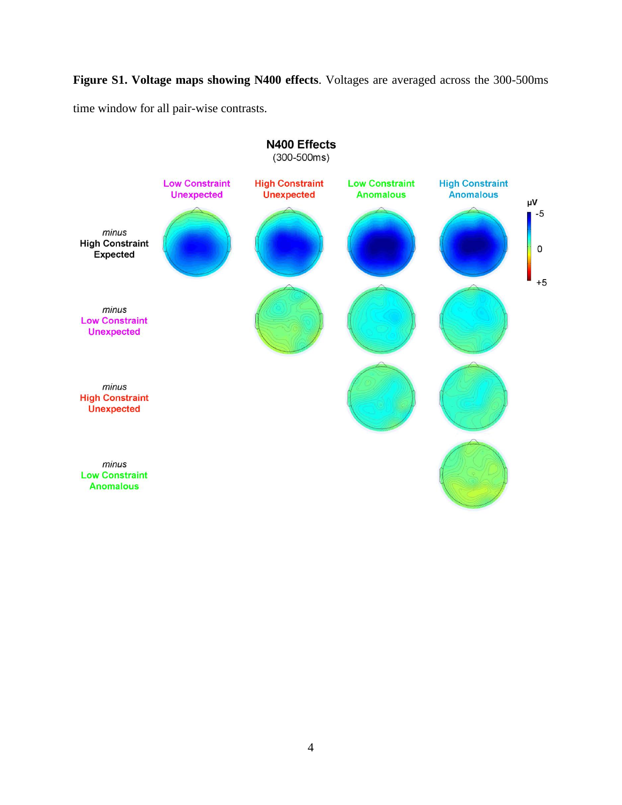**Figure S1. Voltage maps showing N400 effects**. Voltages are averaged across the 300-500ms time window for all pair-wise contrasts.

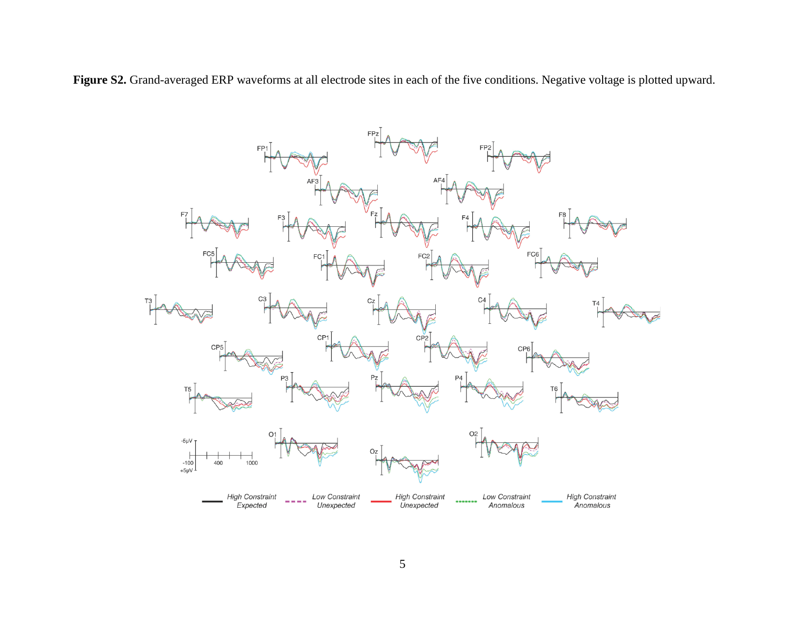**Figure S2.** Grand-averaged ERP waveforms at all electrode sites in each of the five conditions. Negative voltage is plotted upward.